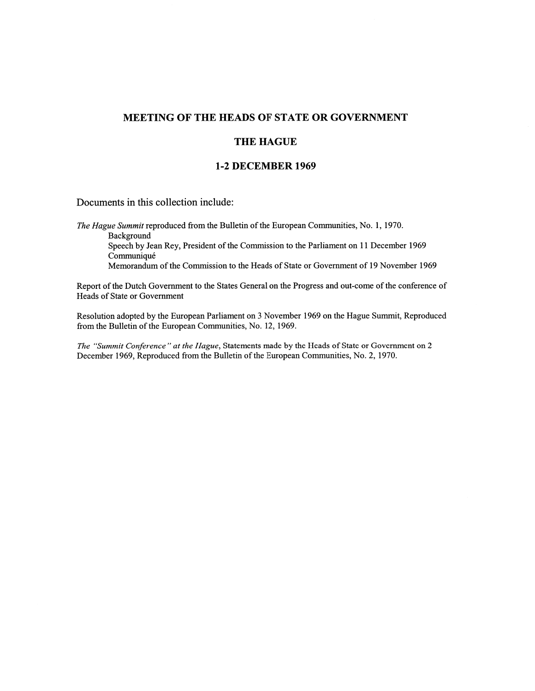# MEETING OF THE HEADS OF STATE OR GOVERNMENT

#### THE HAGUE

## 2 DECEMBER 1969

Documents in this collection include:

The Hague Summit reproduced from the Bulletin of the European Communities, No. 1, 1970. Background Speech by Jean Rey, President of the Commission to the Parliament on 11 December 1969 **Communiqué** Memorandum of the Commission to the Heads of State or Government of 19 November 1969

Report of the Dutch Government to the States General on the Progress and out-come of the conference of Heads of State or Government

Resolution adopted by the European Parliament on 3 November 1969 on the Hague Summit, Reproduced from the Bulletin of the European Communities, No. 12, 1969.

The "Summit Conference" at the Hague, Statements made by the Heads of State or Government on 2 December 1969, Reproduced from the Bulletin of the European Communities, No. 2, 1970.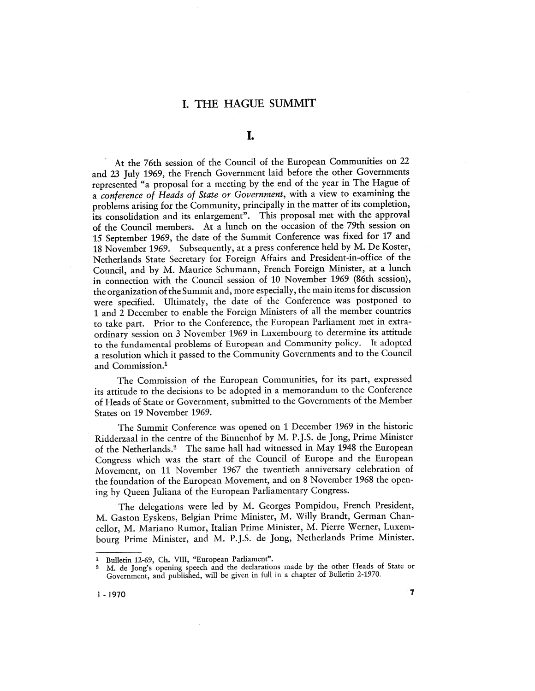## I. THE HAGUE SUMMIT

# I.

At the 76th session of the Council of the European Communities on 22 and 23 July 1969, the French Government laid before the other Governments represented "a proposal for a meeting by the end of the year in The Hague of a conference of Heads of State or Government, with a view to examining the problems arising for the Community, principally in the matter of its completion, its consolidation and its enlargement". This proposal met with the approval of the Council members. At a lunch on the occasion of the 79th session on 15 September 1969, the date of the Summit Conference was fixed for 17 and 18 November 1969. Subsequently, at a press conference held by M. De Koster, Netherlands State Secretary for Foreign Affairs and President-in-office of the Council, and by M. Maurice Schumann, French Foreign Minister, at a lunch in connection with the Council session of 10 November 1969 (86th session), the organization of the Summit and, more especially, the main items for discussion were specified. Ultimately, the date of the Conference was postponed to 1 and 2 December to enable the Foreign Ministers of all the member countries to take part. Prior to the Conference, the European Parliament met in extraordinary session on 3 November 1969 in Luxembourg to determine its attitude to the fundamental problems of European and Community policy. It adopted a resolution which it passed to the Community Governments and to the Council and Commission.

The Commission of the European Communities, for its part, expressed its attitude to the decisions to be adopted in a memorandum to the Conference of Heads of State or Government, submitted to the Governments of the Member States on 19 November 1969.

The Summit Conference was opened on 1 December 1969 in the historic Ridderzaal in the centre of the Binnenhof by M. P.J.S. de Jong, Prime Minister of the Netherlands.2 The same hall had witnessed in May 1948 the European Congress which was the start of the Council of Europe and the European Movement, on 11 November 1967 the twentieth anniversary celebration of the foundation of the European Movement, and on 8 November 1968 the opening by Queen Juliana of the European Parliamentary Congress.

The delegations were led by M. Georges Pompidou, French President, M. Gaston Eyskens, Belgian Prime Minister, M. Willy Brandt, German Chancellor, M. Mariano Rumor, Italian Prime Minister, M. Pierre Werner, Luxembourg Prime Minister, and M. P.J.S. de Jong, Netherlands Prime Minister.

<sup>&</sup>lt;sup>1</sup> Bulletin 12-69, Ch. VIII, "European Parliament".<br><sup>2</sup> M. de Jong's opening speech and the declarations made by the other Heads of State or Government, and published, will be given in full in a chapter of Bulletin 2-1970.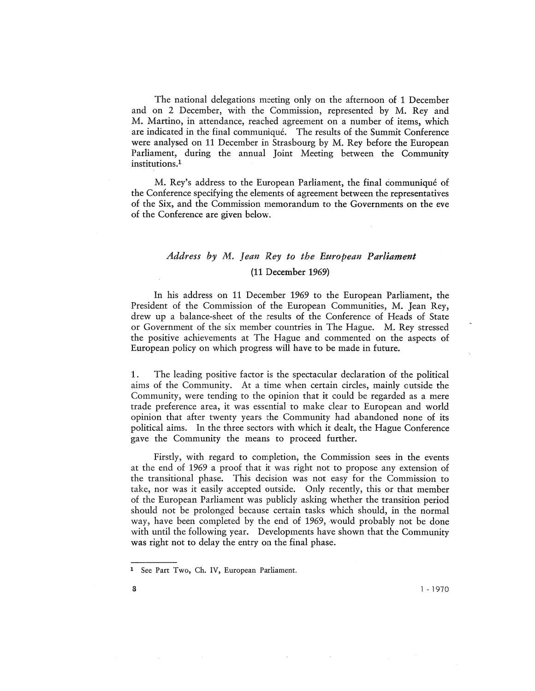The national delegations meeting only on the afternoon of 1 December and on 2 December, with the Commission, represented by M. Rey and M. Martino, in attendance, reached agreement on a number of items, which are indicated in the final communique. The results of the Summit Conference were analysed on 11 December in Strasbourg by M. Rey before the European Parliament, during the annual Joint Meeting between the Community institutions.

M. Rey's address to the European Parliament, the final communiqué of the Conference specifying the elements of agreement between the representatives of the Six, and the Commission memorandum to the Governments on the eve of the Conference are given below.

#### Address by M. Jean Rey to the European Parliament

#### (11 December 1969)

In his address on 11 December 1969 to the European Parliament, the President of the Commission of the European Communities, M. Jean Rey, drew up a balance-sheet of the results of the Conference of Heads of State or Government of the six member countries in The Hague. M. Rey stressed the positive achievements at The Hague and commented on the aspects of European policy on which progress will have to be made in future.

1 . The leading positive factor is the spectacular declaration of the political aims of the Community. At a time when certain circles, mainly outside the Community, were tending to the opinion that it could be regarded as a mere trade preference area, it was essential to make clear to European and world opinion that after twenty years the Community had abandoned none of its political aims. In the three sectors with which it dealt, the Hague Conference gave the Community the means to proceed further.

Firstly, with regard to completion, the Commission sees in the events at the end of 1969 a proof that it was right not to propose any extension of the transitional phase. This decision was not easy for the Commission to take, nor was it easily accepted outside. Only recently, this or that member of the European Parliament was publicly asking whether the transition period should not be prolonged because certain tasks which should, in the normal way, have been completed by the end of 1969, would probably not be done with until the following year. Developments have shown that the Community was right not to delay the entry on the final phase.

<sup>&</sup>lt;sup>1</sup> See Part Two, Ch. IV, European Parliament.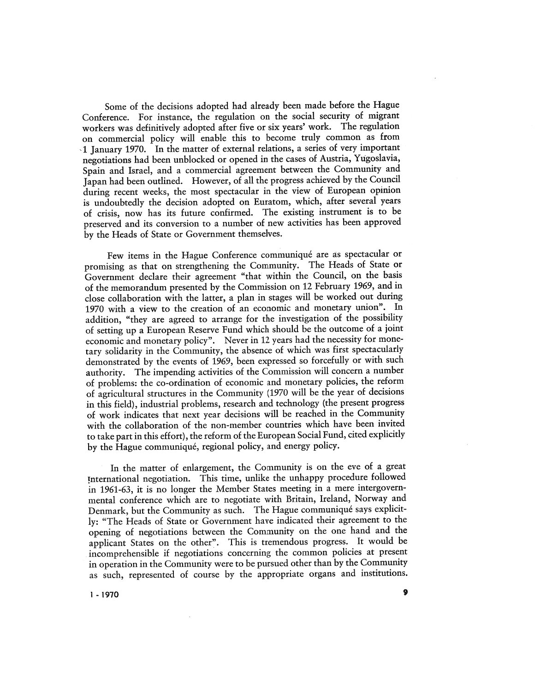Some of the decisions adopted had already been made before the Hague Conference. For instance, the regulation on the social security of migrant workers was definitively adopted after five or six years' work. The regulation on commercial policy will enable this to become truly common as from 1 January 1970. In the matter of external relations, a series of very important negotiations had been unblocked or opened in the cases of Austria, Yugoslavia, Spain and Israel, and a commercial agreement between the Community and Japan had been outlined. However, of all the progress achieved by the Council during recent weeks, the most spectacular in the view of European opinion is undoubtedly the decision adopted on Euratom, which, after several years of crisis, now has its future confirmed. The existing instrument is to preserved and its conversion to a number of new activities has been approved by the Heads of State or Government themselves.

Few items in the Hague Conference communique are as spectacular or promising as that on strengthening the Community. The Heads of State or Government declare their agreement "that within the Council, on the basis of the memorandum presented by the Commission on 12 February 1969, and in close collaboration with the latter, a plan in stages will be worked out during 1970 with a view to the creation of an economic and monetary union". In addition, "they are agreed to arrange for the investigation of the possibility of setting up a European Reserve Fund which should be the outcome of a joint economic and monetary policy". Never in 12 years had the necessity for monetary solidarity in the Community, the absence of which was first spectacularly demonstrated by the events of 1969, been expressed so forcefully or with such authority. The impending activities of the Commission will concern a number of problems: the co-ordination of economic and monetary policies, the reform of agricultural structures in the Community (1970 will be the year of decisions in this field), industrial problems, research and technology (the present progress of work indicates that next year decisions will be reached in the Community with the collaboration of the non-member countries which have been invited to take part in this effort), the reform of the European Social Fund, cited explicitly by the Hague communiqué, regional policy, and energy policy.

In the matter of enlargement, the Community is on the eve of a grea<sup>t</sup> !nternational negotiation. This time, unlike the unhappy procedure followed in 1961-63, it is no longer the Member States meeting in a mere intergovernmental conference which are to negotiate with Britain, Ireland, Norway and Denmark, but the Community as such. The Hague communique says explicitly: "The Heads of State or Government have indicated their agreement to the opening of negotiations between the Community on the one hand and the applicant States on the other". This is tremendous progress. It would be incomprehensible if negotiations concerning the common policies at present in operation in the Community were to be pursued other than by the Community as such, represented of course by the appropriate organs and institutions.

 $\sim$